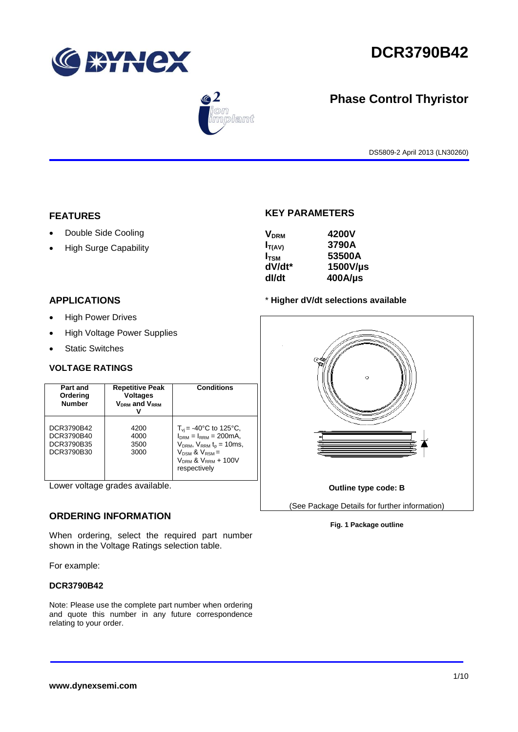



# **Phase Control Thyristor**

DS5809-2 April 2013 (LN30260)

# **FEATURES**

- Double Side Cooling
- High Surge Capability

# **KEY PARAMETERS**

| 4200V      |
|------------|
| 3790A      |
| 53500A     |
| 1500V/µs   |
| $400$ A/µs |
|            |

# **APPLICATIONS**

- High Power Drives
- High Voltage Power Supplies
- Static Switches

# **VOLTAGE RATINGS**

| Part and<br>Ordering<br><b>Number</b>                | <b>Repetitive Peak</b><br><b>Voltages</b><br>$V_{DRM}$ and $V_{RRM}$ | <b>Conditions</b>                                                                                                                                                                           |
|------------------------------------------------------|----------------------------------------------------------------------|---------------------------------------------------------------------------------------------------------------------------------------------------------------------------------------------|
| DCR3790B42<br>DCR3790B40<br>DCR3790B35<br>DCR3790B30 | 4200<br>4000<br>3500<br>3000                                         | $T_{\rm vi}$ = -40°C to 125°C,<br>$I_{DRM} = I_{RRM} = 200 \text{mA}$ ,<br>$V_{DRM}$ , $V_{RRM}$ $t_{p}$ = 10ms,<br>$V_{DSM}$ & $V_{RSM}$ =<br>$V_{DRM}$ & $V_{RRM}$ + 100V<br>respectively |

Lower voltage grades available.

# **ORDERING INFORMATION**

When ordering, select the required part number shown in the Voltage Ratings selection table.

For example:

# **DCR3790B42**

Note: Please use the complete part number when ordering and quote this number in any future correspondence relating to your order.

### \* **Higher dV/dt selections available**



### **Fig. 1 Package outline**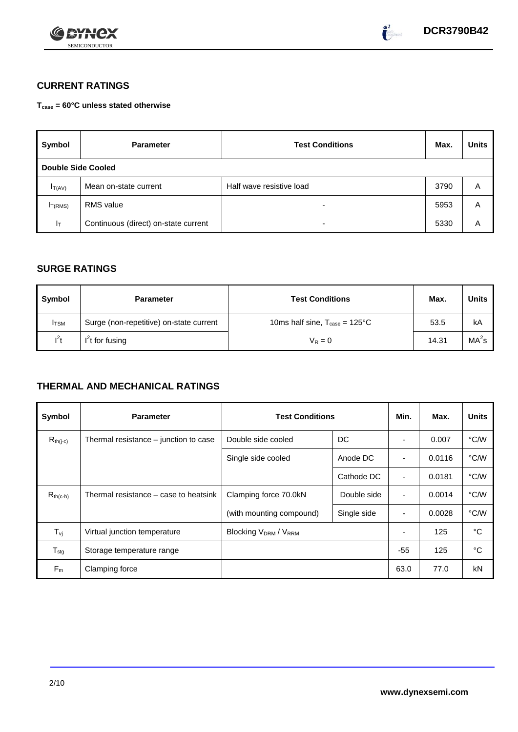



# **CURRENT RATINGS**

**Tcase = 60°C unless stated otherwise**

| Symbol                    | <b>Test Conditions</b><br><b>Parameter</b> |                          | Max. | <b>Units</b> |
|---------------------------|--------------------------------------------|--------------------------|------|--------------|
| <b>Double Side Cooled</b> |                                            |                          |      |              |
| $I_{T(AV)}$               | Mean on-state current                      | Half wave resistive load | 3790 | Α            |
| I <sub>T(RMS)</sub>       | <b>RMS</b> value                           | $\overline{\phantom{0}}$ | 5953 | A            |
| $I_T$                     | Continuous (direct) on-state current       | $\overline{\phantom{a}}$ | 5330 | Α            |

# **SURGE RATINGS**

| Symbol       | <b>Parameter</b>                        | <b>Test Conditions</b>                           |       | Units             |
|--------------|-----------------------------------------|--------------------------------------------------|-------|-------------------|
| <b>I</b> TSM | Surge (non-repetitive) on-state current | 10ms half sine, $T_{\text{case}} = 125^{\circ}C$ | 53.5  | kA                |
| $l^2t$       | $I2t$ for fusing                        | $V_R = 0$                                        | 14.31 | MA <sup>2</sup> s |

# **THERMAL AND MECHANICAL RATINGS**

| Symbol                         | <b>Parameter</b>                      | <b>Test Conditions</b>                       | Min.        | Max.           | <b>Units</b> |      |
|--------------------------------|---------------------------------------|----------------------------------------------|-------------|----------------|--------------|------|
| $R_{th(j-c)}$                  | Thermal resistance – junction to case | DC<br>Double side cooled                     |             |                | 0.007        | °C/W |
|                                |                                       | Single side cooled                           | Anode DC    | ٠              | 0.0116       | °C/W |
|                                |                                       |                                              | Cathode DC  | $\blacksquare$ | 0.0181       | °C/W |
| $R_{th(c-h)}$                  | Thermal resistance – case to heatsink | Clamping force 70.0kN<br>Double side         |             | $\blacksquare$ | 0.0014       | °C/W |
|                                |                                       | (with mounting compound)                     | Single side | ۰              | 0.0028       | °C/W |
| $T_{\rm\scriptscriptstyle VI}$ | Virtual junction temperature          | Blocking V <sub>DRM</sub> / V <sub>RRM</sub> |             |                | 125          | °C   |
| $T_{\text{stg}}$               | Storage temperature range             |                                              |             | $-55$          | 125          | °C   |
| $F_m$                          | Clamping force                        |                                              |             | 63.0           | 77.0         | kN   |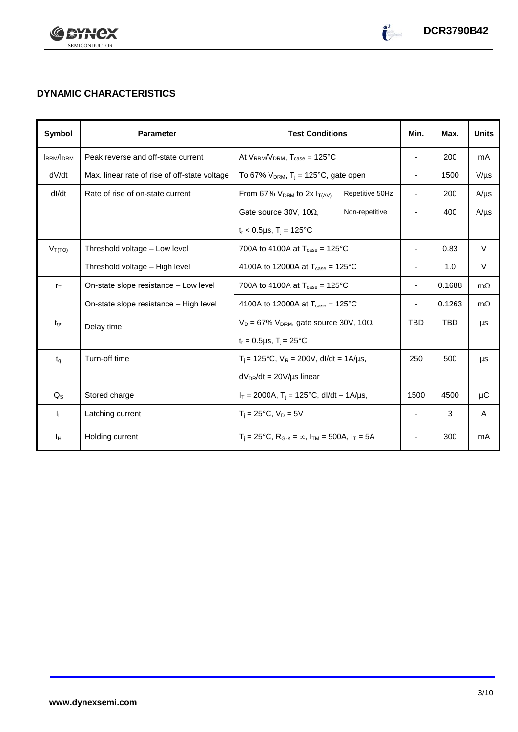

# **DYNAMIC CHARACTERISTICS**

| Symbol           | <b>Parameter</b>                              | <b>Test Conditions</b>                                                                          |                 | Min.                     | Max.       | <b>Units</b> |
|------------------|-----------------------------------------------|-------------------------------------------------------------------------------------------------|-----------------|--------------------------|------------|--------------|
| <b>IRRM/IDRM</b> | Peak reverse and off-state current            | At $V_{RRM}/V_{DRM}$ , $T_{case} = 125^{\circ}C$                                                |                 | $\overline{\phantom{a}}$ | 200        | mA           |
| dV/dt            | Max. linear rate of rise of off-state voltage | To 67% $V_{DRM}$ , T <sub>i</sub> = 125°C, gate open                                            |                 | $\blacksquare$           | 1500       | $V/\mu s$    |
| dl/dt            | Rate of rise of on-state current              | From 67% $V_{DRM}$ to 2x $I_{T(AV)}$                                                            | Repetitive 50Hz | $\blacksquare$           | 200        | $A/\mu s$    |
|                  |                                               | Gate source 30V, 10 $\Omega$ ,                                                                  | Non-repetitive  |                          | 400        | $A/\mu s$    |
|                  |                                               | $t_r < 0.5 \mu s$ , T <sub>i</sub> = 125°C                                                      |                 |                          |            |              |
| $V_{T(TO)}$      | Threshold voltage - Low level                 | 700A to 4100A at $T_{\text{case}} = 125^{\circ}C$                                               |                 | $\overline{\phantom{a}}$ | 0.83       | $\vee$       |
|                  | Threshold voltage - High level                | 4100A to 12000A at $T_{\text{case}} = 125^{\circ}$ C                                            |                 | $\overline{\phantom{a}}$ | 1.0        | V            |
| $r_{\text{T}}$   | On-state slope resistance – Low level         | 700A to 4100A at $T_{\text{case}} = 125^{\circ}$ C                                              |                 |                          | 0.1688     | $m\Omega$    |
|                  | On-state slope resistance - High level        | 4100A to 12000A at $T_{\text{case}} = 125^{\circ}$ C                                            |                 |                          | 0.1263     | $m\Omega$    |
| $t_{\text{qd}}$  | Delay time                                    | $V_D = 67\% V_{DRM}$ , gate source 30V, 10 $\Omega$                                             |                 | <b>TBD</b>               | <b>TBD</b> | μs           |
|                  |                                               | $t_r = 0.5 \mu s$ , $T_i = 25^{\circ}C$                                                         |                 |                          |            |              |
| $t_q$            | Turn-off time                                 | $T_i = 125^{\circ}C$ , $V_R = 200V$ , dl/dt = 1A/µs,                                            |                 | 250                      | 500        | μs           |
|                  |                                               | $dV_{DR}/dt = 20V/\mu s$ linear                                                                 |                 |                          |            |              |
| $Q_{\rm S}$      | Stored charge                                 | $I_T = 2000A$ , $T_i = 125^{\circ}C$ , dl/dt - 1A/µs,                                           |                 | 1500                     | 4500       | μC           |
| IL.              | Latching current                              | $T_i = 25^{\circ}C$ , $V_D = 5V$                                                                |                 | $\overline{\phantom{a}}$ | 3          | A            |
| Iн               | Holding current                               | $T_i = 25^{\circ}C$ , R <sub>G-K</sub> = $\infty$ , I <sub>TM</sub> = 500A, I <sub>T</sub> = 5A |                 | ٠                        | 300        | mA           |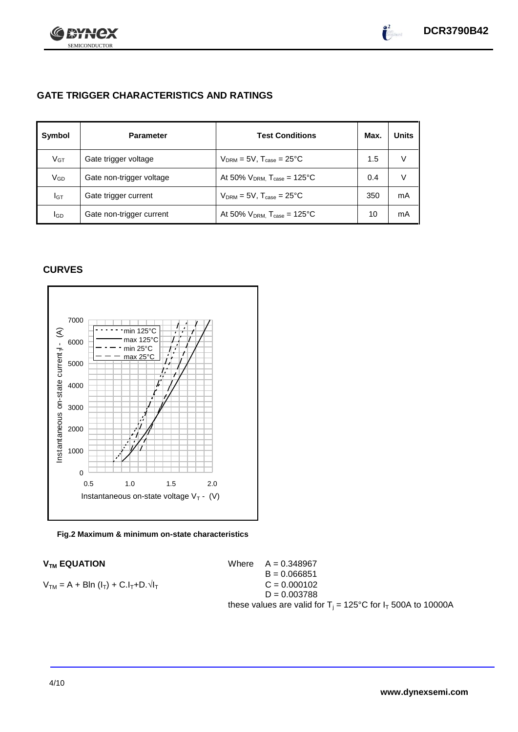

# **GATE TRIGGER CHARACTERISTICS AND RATINGS**

| Symbol          | <b>Parameter</b>         | <b>Test Conditions</b>                       | Max. | <b>Units</b> |
|-----------------|--------------------------|----------------------------------------------|------|--------------|
| V <sub>GT</sub> | Gate trigger voltage     | $V_{DRM} = 5V$ , $T_{case} = 25^{\circ}C$    | 1.5  | V            |
| VGD             | Gate non-trigger voltage | At 50% $V_{DRM}$ , $T_{case} = 125^{\circ}C$ | 0.4  | V            |
| IGТ             | Gate trigger current     | $V_{DRM}$ = 5V, $T_{case}$ = 25°C            | 350  | mA           |
| lgd             | Gate non-trigger current | At 50% $V_{DRM}$ , $T_{case} = 125^{\circ}C$ | 10   | mA           |

# **CURVES**



### **Fig.2 Maximum & minimum on-state characteristics**

 $V_{TM}$  **EQUATION** Where  $A = 0.348967$  $B = 0.066851$  $V_{TM} = A + B\ln(I_T) + C.I_T + D.\sqrt{I_T}$  C = 0.000102  $D = 0.003788$ these values are valid for  $T_i = 125^{\circ}C$  for  $I_T$  500A to 10000A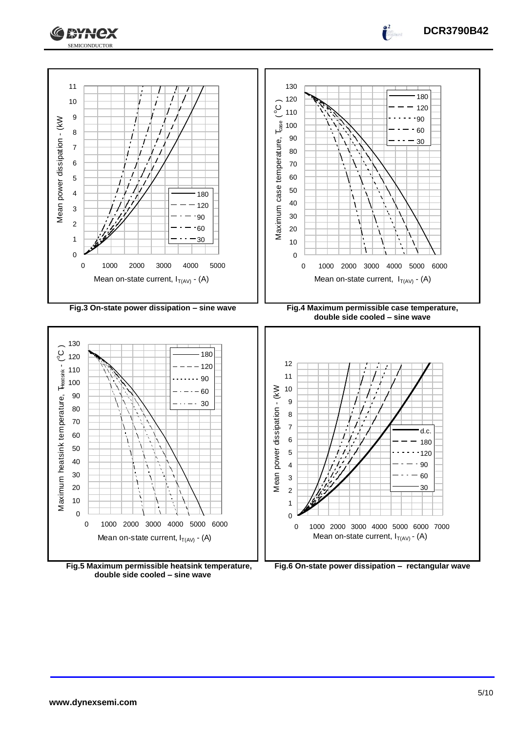



**Fig.5 Maximum permissible heatsink temperature, double side cooled – sine wave**

 $\int_0^2$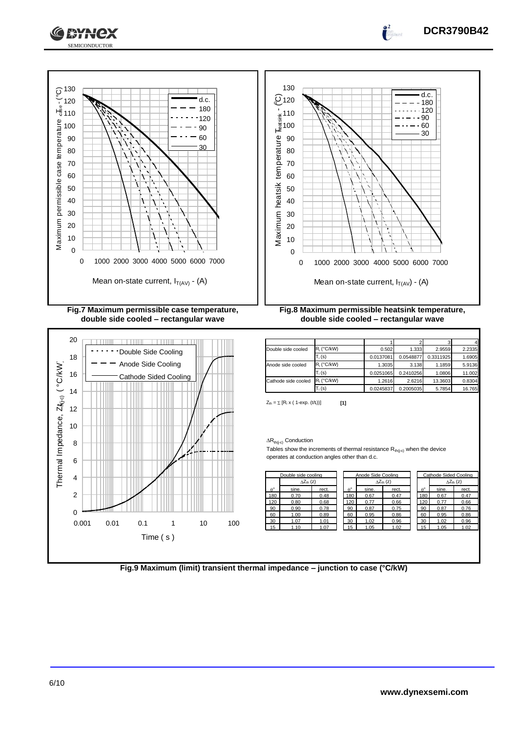





| Double side cooled  | $R_i$ (°C/kW) | 0.502     | 1.333     | 2.9559    | 2.2335 |
|---------------------|---------------|-----------|-----------|-----------|--------|
|                     | $T_i$ (s)     | 0.0137081 | 0.0548877 | 0.3311925 | 1.6905 |
| Anode side cooled   | $R_i$ (°C/kW) | 1.3035    | 3.138     | 1.1859    | 5.9136 |
|                     | $T_i(s)$      | 0.0251065 | 0.2410256 | 1.0806    | 11.002 |
| Cathode side cooled | $R_i$ (°C/kW) | 1.2616    | 2.6216    | 13.3603   | 0.8304 |
|                     | $T_i(s)$      | 0.0245837 | 0.2005035 | 5.7854    | 16.765 |

 $Z_{\text{th}} = \sum [R_i \times (1-\exp. (t/t_i))]$  [1]

### $\Delta R_{th(j\text{-}c)}$  Conduction

Tables show the increments of thermal resistance  $R_{th(j-c)}$  when the device operates at conduction angles other than d.c.

|                  | Double side cooling |       |  | Anode Side Cooling |       |                           |  |                | Cathode Sided Cooling |                     |
|------------------|---------------------|-------|--|--------------------|-------|---------------------------|--|----------------|-----------------------|---------------------|
|                  | $\Delta Z_{th}$ (z) |       |  |                    |       | $\Delta Z_{\text{th}}(z)$ |  |                |                       | $\Delta Z_{th}$ (z) |
| $\theta^{\circ}$ | sine.               | rect. |  | $\theta^{\circ}$   | sine. | rect.                     |  | $\rho^{\circ}$ | sine.                 | rect.               |
| 180              | 0.70                | 0.48  |  | 180                | 0.67  | 0.47                      |  | 180            | 0.67                  | 0.47                |
| 120              | 0.80                | 0.68  |  | 120                | 0.77  | 0.66                      |  | 120            | 0.77                  | 0.66                |
| 90               | 0.90                | 0.78  |  | 90                 | 0.87  | 0.75                      |  | 90             | 0.87                  | 0.76                |
| 60               | 1.00                | 0.89  |  | 60                 | 0.95  | 0.86                      |  | 60             | 0.95                  | 0.86                |
| 30               | 1.07                | 1.01  |  | 30                 | 1.02  | 0.96                      |  | 30             | 1.02                  | 0.96                |
| 15               | 1.10                | 1.07  |  | 15                 | 1.05  | 1.02                      |  | 15             | 1.05                  | 1.02                |

|     | <b>Cathode Sided Cooling</b> |       |  |  |  |  |
|-----|------------------------------|-------|--|--|--|--|
|     | $\Delta Z_{th}$ (z)          |       |  |  |  |  |
| o   | sine.                        | rect. |  |  |  |  |
| 180 | 0.67                         | 0.47  |  |  |  |  |
| 120 | 0.77                         | 0.66  |  |  |  |  |
| 90  | 0.87                         | 0.76  |  |  |  |  |
| 60  | 0.95                         | 0.86  |  |  |  |  |
| 30  | 1.02                         | 0.96  |  |  |  |  |
| 15  | 1.05                         | 1.02  |  |  |  |  |

**Fig.9 Maximum (limit) transient thermal impedance – junction to case (°C/kW)**



**DCR3790B42**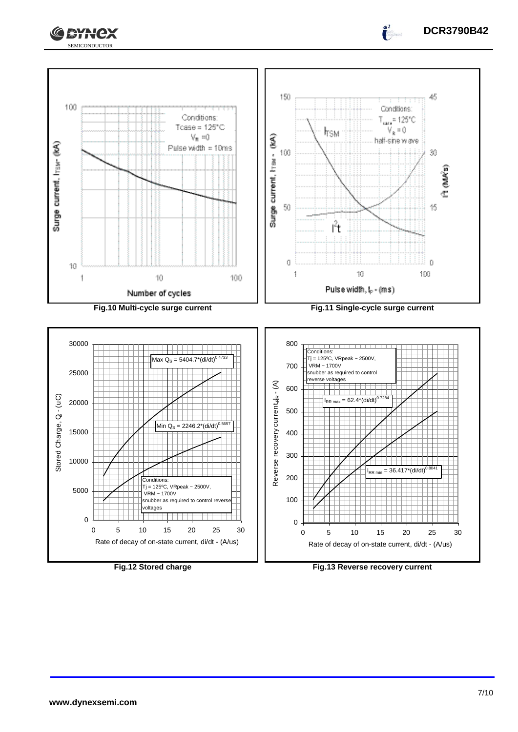



**Fig.12 Stored charge Fig.13 Reverse recovery current**

 $\int_0^2$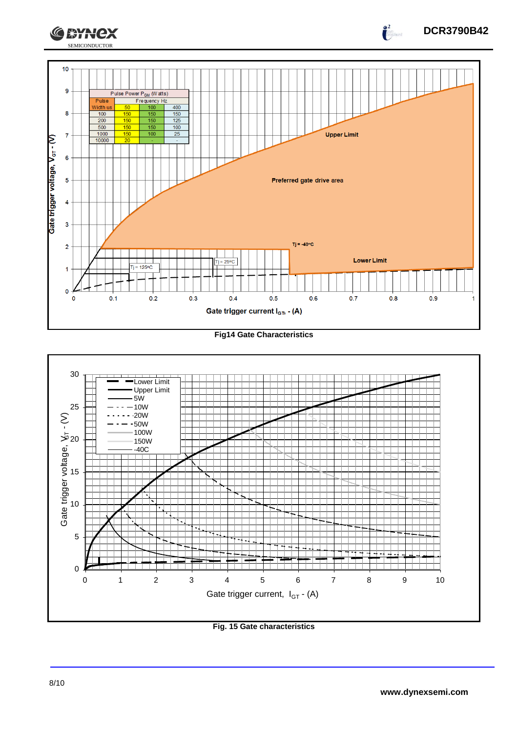

**Fig14 Gate Characteristics**



**Fig. 15 Gate characteristics**

 $\int_{0}^{2}$ 

**CEYNEX**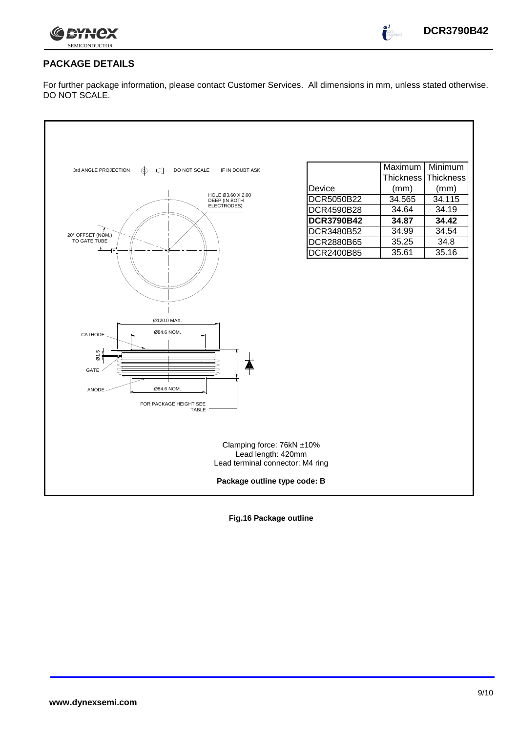

 $\int_0^2$ 

# **PACKAGE DETAILS**

For further package information, please contact Customer Services. All dimensions in mm, unless stated otherwise. DO NOT SCALE.



**Fig.16 Package outline**